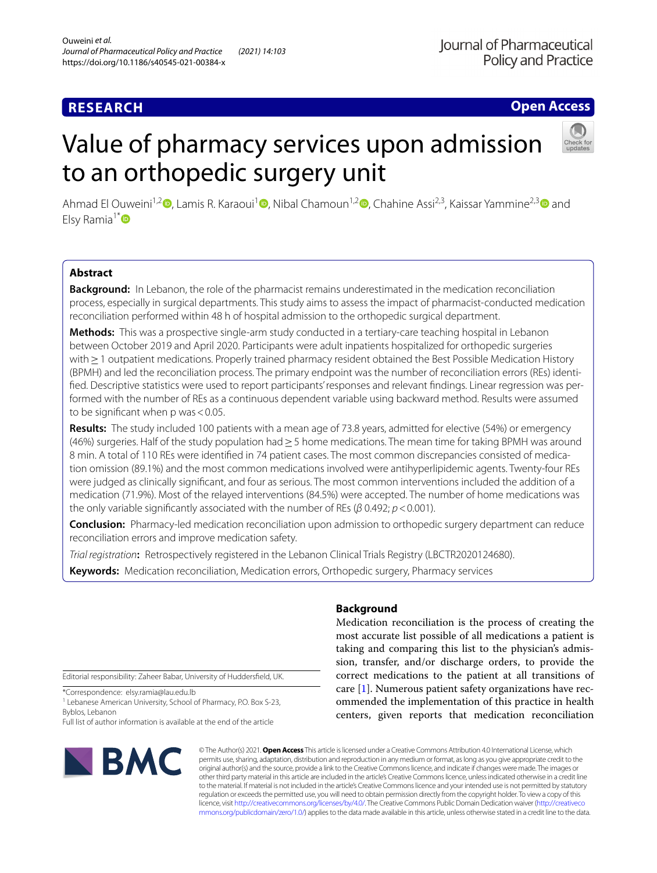## **Open Access**

# Value of pharmacy services upon admission to an orthopedic surgery unit



Ahmad El Ouweini<sup>1,[2](http://orcid.org/0000-0002-7109-6340)</sup> [,](http://orcid.org/0000-0002-0987-296X) Lamis R. Karaoui<sup>1</sup> , Nibal Chamoun<sup>1,2</sup> , Chahine Assi<sup>2,[3](http://orcid.org/0000-0003-0094-9892)</sup>, Kaissar Yammine<sup>2,3</sup> and Elsy Ramia<sup>1[\\*](http://orcid.org/0000-0001-6447-4377)</sup>

## **Abstract**

**Background:** In Lebanon, the role of the pharmacist remains underestimated in the medication reconciliation process, especially in surgical departments. This study aims to assess the impact of pharmacist-conducted medication reconciliation performed within 48 h of hospital admission to the orthopedic surgical department.

**Methods:** This was a prospective single-arm study conducted in a tertiary-care teaching hospital in Lebanon between October 2019 and April 2020. Participants were adult inpatients hospitalized for orthopedic surgeries with ≥ 1 outpatient medications. Properly trained pharmacy resident obtained the Best Possible Medication History (BPMH) and led the reconciliation process. The primary endpoint was the number of reconciliation errors (REs) identifed. Descriptive statistics were used to report participants' responses and relevant fndings. Linear regression was performed with the number of REs as a continuous dependent variable using backward method. Results were assumed to be signifcant when p was<0.05.

**Results:** The study included 100 patients with a mean age of 73.8 years, admitted for elective (54%) or emergency (46%) surgeries. Half of the study population had≥5 home medications. The mean time for taking BPMH was around 8 min. A total of 110 REs were identifed in 74 patient cases. The most common discrepancies consisted of medication omission (89.1%) and the most common medications involved were antihyperlipidemic agents. Twenty-four REs were judged as clinically signifcant, and four as serious. The most common interventions included the addition of a medication (71.9%). Most of the relayed interventions (84.5%) were accepted. The number of home medications was the only variable signifcantly associated with the number of REs (*β* 0.492; *p*<0.001).

**Conclusion:** Pharmacy-led medication reconciliation upon admission to orthopedic surgery department can reduce reconciliation errors and improve medication safety.

*Trial registration***:** Retrospectively registered in the Lebanon Clinical Trials Registry (LBCTR2020124680).

**Keywords:** Medication reconciliation, Medication errors, Orthopedic surgery, Pharmacy services

Editorial responsibility: Zaheer Babar, University of Huddersfeld, UK.

\*Correspondence: elsy.ramia@lau.edu.lb

<sup>1</sup> Lebanese American University, School of Pharmacy, P.O. Box S-23, Byblos, Lebanon

Full list of author information is available at the end of the article



## **Background**

Medication reconciliation is the process of creating the most accurate list possible of all medications a patient is taking and comparing this list to the physician's admission, transfer, and/or discharge orders, to provide the correct medications to the patient at all transitions of care [[1](#page-8-0)]. Numerous patient safety organizations have recommended the implementation of this practice in health centers, given reports that medication reconciliation

© The Author(s) 2021. **Open Access** This article is licensed under a Creative Commons Attribution 4.0 International License, which permits use, sharing, adaptation, distribution and reproduction in any medium or format, as long as you give appropriate credit to the original author(s) and the source, provide a link to the Creative Commons licence, and indicate if changes were made. The images or other third party material in this article are included in the article's Creative Commons licence, unless indicated otherwise in a credit line to the material. If material is not included in the article's Creative Commons licence and your intended use is not permitted by statutory regulation or exceeds the permitted use, you will need to obtain permission directly from the copyright holder. To view a copy of this licence, visit [http://creativecommons.org/licenses/by/4.0/.](http://creativecommons.org/licenses/by/4.0/) The Creative Commons Public Domain Dedication waiver ([http://creativeco](http://creativecommons.org/publicdomain/zero/1.0/) [mmons.org/publicdomain/zero/1.0/](http://creativecommons.org/publicdomain/zero/1.0/)) applies to the data made available in this article, unless otherwise stated in a credit line to the data.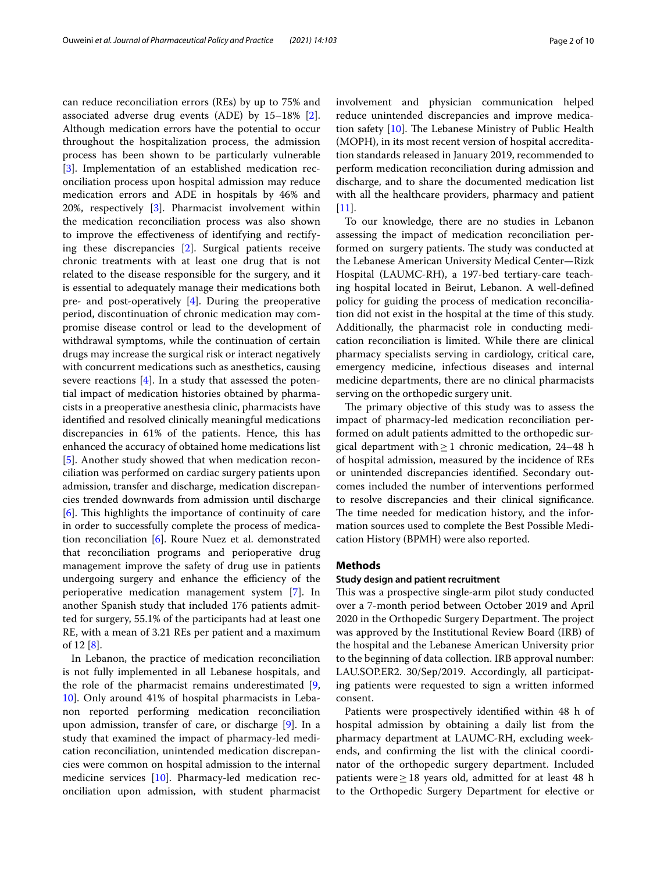can reduce reconciliation errors (REs) by up to 75% and associated adverse drug events (ADE) by 15–18% [\[2](#page-8-1)]. Although medication errors have the potential to occur throughout the hospitalization process, the admission process has been shown to be particularly vulnerable [[3\]](#page-8-2). Implementation of an established medication reconciliation process upon hospital admission may reduce medication errors and ADE in hospitals by 46% and 20%, respectively [\[3](#page-8-2)]. Pharmacist involvement within the medication reconciliation process was also shown to improve the efectiveness of identifying and rectifying these discrepancies [[2\]](#page-8-1). Surgical patients receive chronic treatments with at least one drug that is not related to the disease responsible for the surgery, and it is essential to adequately manage their medications both pre- and post-operatively [\[4](#page-8-3)]. During the preoperative period, discontinuation of chronic medication may compromise disease control or lead to the development of withdrawal symptoms, while the continuation of certain drugs may increase the surgical risk or interact negatively with concurrent medications such as anesthetics, causing severe reactions [[4\]](#page-8-3). In a study that assessed the potential impact of medication histories obtained by pharmacists in a preoperative anesthesia clinic, pharmacists have identifed and resolved clinically meaningful medications discrepancies in 61% of the patients. Hence, this has enhanced the accuracy of obtained home medications list [[5\]](#page-8-4). Another study showed that when medication reconciliation was performed on cardiac surgery patients upon admission, transfer and discharge, medication discrepancies trended downwards from admission until discharge  $[6]$  $[6]$ . This highlights the importance of continuity of care in order to successfully complete the process of medication reconciliation [[6\]](#page-8-5). Roure Nuez et al. demonstrated that reconciliation programs and perioperative drug management improve the safety of drug use in patients undergoing surgery and enhance the efficiency of the perioperative medication management system [\[7](#page-8-6)]. In another Spanish study that included 176 patients admitted for surgery, 55.1% of the participants had at least one RE, with a mean of 3.21 REs per patient and a maximum of 12 [\[8](#page-8-7)].

In Lebanon, the practice of medication reconciliation is not fully implemented in all Lebanese hospitals, and the role of the pharmacist remains underestimated [\[9](#page-8-8), [10\]](#page-8-9). Only around 41% of hospital pharmacists in Lebanon reported performing medication reconciliation upon admission, transfer of care, or discharge [\[9](#page-8-8)]. In a study that examined the impact of pharmacy-led medication reconciliation, unintended medication discrepancies were common on hospital admission to the internal medicine services [\[10](#page-8-9)]. Pharmacy-led medication reconciliation upon admission, with student pharmacist involvement and physician communication helped reduce unintended discrepancies and improve medication safety  $[10]$ . The Lebanese Ministry of Public Health (MOPH), in its most recent version of hospital accreditation standards released in January 2019, recommended to perform medication reconciliation during admission and discharge, and to share the documented medication list with all the healthcare providers, pharmacy and patient  $[11]$  $[11]$ .

To our knowledge, there are no studies in Lebanon assessing the impact of medication reconciliation performed on surgery patients. The study was conducted at the Lebanese American University Medical Center—Rizk Hospital (LAUMC-RH), a 197-bed tertiary-care teaching hospital located in Beirut, Lebanon. A well-defned policy for guiding the process of medication reconciliation did not exist in the hospital at the time of this study. Additionally, the pharmacist role in conducting medication reconciliation is limited. While there are clinical pharmacy specialists serving in cardiology, critical care, emergency medicine, infectious diseases and internal medicine departments, there are no clinical pharmacists serving on the orthopedic surgery unit.

The primary objective of this study was to assess the impact of pharmacy-led medication reconciliation performed on adult patients admitted to the orthopedic surgical department with $\geq 1$  chronic medication, 24–48 h of hospital admission, measured by the incidence of REs or unintended discrepancies identifed. Secondary outcomes included the number of interventions performed to resolve discrepancies and their clinical signifcance. The time needed for medication history, and the information sources used to complete the Best Possible Medication History (BPMH) were also reported.

## **Methods**

## **Study design and patient recruitment**

This was a prospective single-arm pilot study conducted over a 7-month period between October 2019 and April 2020 in the Orthopedic Surgery Department. The project was approved by the Institutional Review Board (IRB) of the hospital and the Lebanese American University prior to the beginning of data collection. IRB approval number: LAU.SOP.ER2. 30/Sep/2019. Accordingly, all participating patients were requested to sign a written informed consent.

Patients were prospectively identifed within 48 h of hospital admission by obtaining a daily list from the pharmacy department at LAUMC-RH, excluding weekends, and confrming the list with the clinical coordinator of the orthopedic surgery department. Included patients were  $\geq$  18 years old, admitted for at least 48 h to the Orthopedic Surgery Department for elective or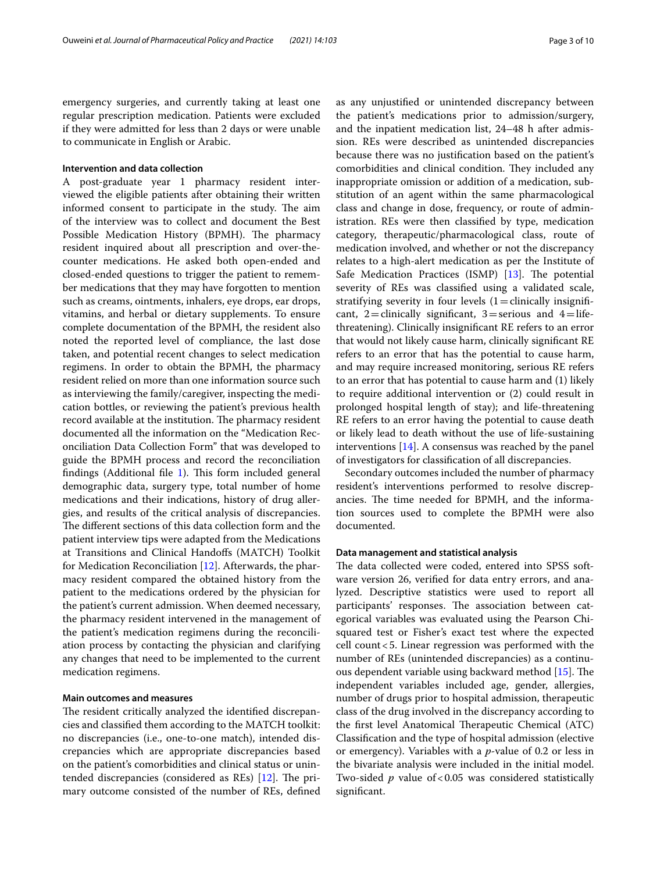emergency surgeries, and currently taking at least one regular prescription medication. Patients were excluded if they were admitted for less than 2 days or were unable to communicate in English or Arabic.

## **Intervention and data collection**

A post-graduate year 1 pharmacy resident interviewed the eligible patients after obtaining their written informed consent to participate in the study. The aim of the interview was to collect and document the Best Possible Medication History (BPMH). The pharmacy resident inquired about all prescription and over-thecounter medications. He asked both open-ended and closed-ended questions to trigger the patient to remember medications that they may have forgotten to mention such as creams, ointments, inhalers, eye drops, ear drops, vitamins, and herbal or dietary supplements. To ensure complete documentation of the BPMH, the resident also noted the reported level of compliance, the last dose taken, and potential recent changes to select medication regimens. In order to obtain the BPMH, the pharmacy resident relied on more than one information source such as interviewing the family/caregiver, inspecting the medication bottles, or reviewing the patient's previous health record available at the institution. The pharmacy resident documented all the information on the "Medication Reconciliation Data Collection Form" that was developed to guide the BPMH process and record the reconciliation findings (Additional file  $1$ ). This form included general demographic data, surgery type, total number of home medications and their indications, history of drug allergies, and results of the critical analysis of discrepancies. The different sections of this data collection form and the patient interview tips were adapted from the Medications at Transitions and Clinical Handofs (MATCH) Toolkit for Medication Reconciliation [\[12](#page-9-0)]. Afterwards, the pharmacy resident compared the obtained history from the patient to the medications ordered by the physician for the patient's current admission. When deemed necessary, the pharmacy resident intervened in the management of the patient's medication regimens during the reconciliation process by contacting the physician and clarifying any changes that need to be implemented to the current medication regimens.

## **Main outcomes and measures**

The resident critically analyzed the identified discrepancies and classifed them according to the MATCH toolkit: no discrepancies (i.e., one-to-one match), intended discrepancies which are appropriate discrepancies based on the patient's comorbidities and clinical status or unintended discrepancies (considered as REs)  $[12]$ . The primary outcome consisted of the number of REs, defned as any unjustifed or unintended discrepancy between the patient's medications prior to admission/surgery, and the inpatient medication list, 24–48 h after admission. REs were described as unintended discrepancies because there was no justifcation based on the patient's comorbidities and clinical condition. They included any inappropriate omission or addition of a medication, substitution of an agent within the same pharmacological class and change in dose, frequency, or route of administration. REs were then classifed by type, medication category, therapeutic/pharmacological class, route of medication involved, and whether or not the discrepancy relates to a high-alert medication as per the Institute of Safe Medication Practices (ISMP) [\[13](#page-9-1)]. The potential severity of REs was classifed using a validated scale, stratifying severity in four levels  $(1=clinically)$  insignificant, 2=clinically significant, 3=serious and 4=lifethreatening). Clinically insignifcant RE refers to an error that would not likely cause harm, clinically signifcant RE refers to an error that has the potential to cause harm, and may require increased monitoring, serious RE refers to an error that has potential to cause harm and (1) likely to require additional intervention or (2) could result in prolonged hospital length of stay); and life-threatening RE refers to an error having the potential to cause death or likely lead to death without the use of life-sustaining interventions [[14\]](#page-9-2). A consensus was reached by the panel of investigators for classifcation of all discrepancies.

Secondary outcomes included the number of pharmacy resident's interventions performed to resolve discrepancies. The time needed for BPMH, and the information sources used to complete the BPMH were also documented.

## **Data management and statistical analysis**

The data collected were coded, entered into SPSS software version 26, verifed for data entry errors, and analyzed. Descriptive statistics were used to report all participants' responses. The association between categorical variables was evaluated using the Pearson Chisquared test or Fisher's exact test where the expected cell count<5. Linear regression was performed with the number of REs (unintended discrepancies) as a continu-ous dependent variable using backward method [[15](#page-9-3)]. The independent variables included age, gender, allergies, number of drugs prior to hospital admission, therapeutic class of the drug involved in the discrepancy according to the first level Anatomical Therapeutic Chemical (ATC) Classifcation and the type of hospital admission (elective or emergency). Variables with a *p*-value of 0.2 or less in the bivariate analysis were included in the initial model. Two-sided *p* value of<0.05 was considered statistically signifcant.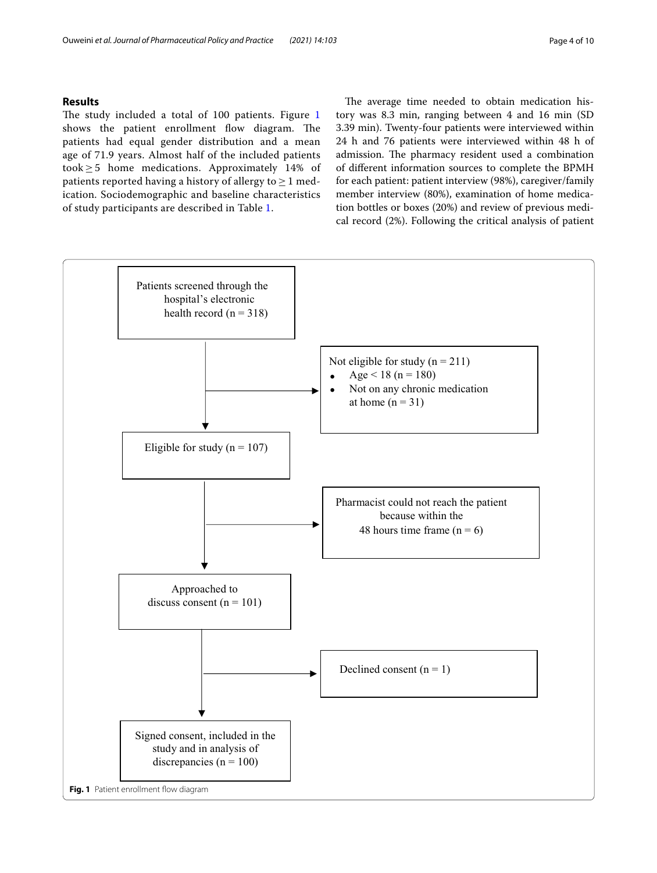## **Results**

The study included a total of [1](#page-3-0)00 patients. Figure  $1$ shows the patient enrollment flow diagram. The patients had equal gender distribution and a mean age of 71.9 years. Almost half of the included patients took ≥ 5 home medications. Approximately 14% of patients reported having a history of allergy to  $> 1$  medication. Sociodemographic and baseline characteristics of study participants are described in Table [1.](#page-4-0)

The average time needed to obtain medication history was 8.3 min, ranging between 4 and 16 min (SD 3.39 min). Twenty-four patients were interviewed within 24 h and 76 patients were interviewed within 48 h of admission. The pharmacy resident used a combination of diferent information sources to complete the BPMH for each patient: patient interview (98%), caregiver/family member interview (80%), examination of home medication bottles or boxes (20%) and review of previous medical record (2%). Following the critical analysis of patient

<span id="page-3-0"></span>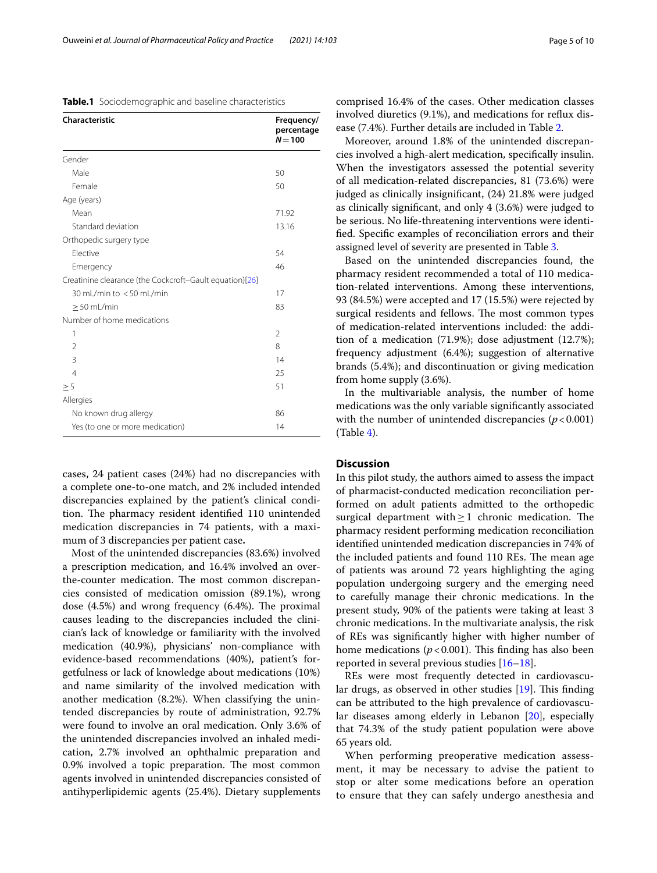<span id="page-4-0"></span>

| Table.1 Sociodemographic and baseline characteristics |  |
|-------------------------------------------------------|--|
|-------------------------------------------------------|--|

| <b>Characteristic</b>                                   | Frequency/<br>percentage<br>$N = 100$ |
|---------------------------------------------------------|---------------------------------------|
| Gender                                                  |                                       |
| Male                                                    | 50                                    |
| Female                                                  | 50                                    |
| Age (years)                                             |                                       |
| Mean                                                    | 71.92                                 |
| Standard deviation                                      | 13.16                                 |
| Orthopedic surgery type                                 |                                       |
| Flective                                                | 54                                    |
| Emergency                                               | 46                                    |
| Creatinine clearance (the Cockcroft-Gault equation)[26] |                                       |
| 30 mL/min to <50 mL/min                                 | 17                                    |
| $\geq$ 50 mL/min                                        | 83                                    |
| Number of home medications                              |                                       |
| 1                                                       | 2                                     |
| 2                                                       | 8                                     |
| 3                                                       | 14                                    |
| $\overline{4}$                                          | 25                                    |
| $\geq 5$                                                | 51                                    |
| Allergies                                               |                                       |
| No known drug allergy                                   | 86                                    |
| Yes (to one or more medication)                         | 14                                    |

cases, 24 patient cases (24%) had no discrepancies with a complete one-to-one match, and 2% included intended discrepancies explained by the patient's clinical condition. The pharmacy resident identified 110 unintended medication discrepancies in 74 patients, with a maximum of 3 discrepancies per patient case**.**

Most of the unintended discrepancies (83.6%) involved a prescription medication, and 16.4% involved an overthe-counter medication. The most common discrepancies consisted of medication omission (89.1%), wrong dose  $(4.5%)$  and wrong frequency  $(6.4%)$ . The proximal causes leading to the discrepancies included the clinician's lack of knowledge or familiarity with the involved medication (40.9%), physicians' non-compliance with evidence-based recommendations (40%), patient's forgetfulness or lack of knowledge about medications (10%) and name similarity of the involved medication with another medication (8.2%). When classifying the unintended discrepancies by route of administration, 92.7% were found to involve an oral medication. Only 3.6% of the unintended discrepancies involved an inhaled medication, 2.7% involved an ophthalmic preparation and 0.9% involved a topic preparation. The most common agents involved in unintended discrepancies consisted of antihyperlipidemic agents (25.4%). Dietary supplements comprised 16.4% of the cases. Other medication classes involved diuretics (9.1%), and medications for refux disease (7.4%). Further details are included in Table [2.](#page-5-0)

Moreover, around 1.8% of the unintended discrepancies involved a high-alert medication, specifcally insulin. When the investigators assessed the potential severity of all medication-related discrepancies, 81 (73.6%) were judged as clinically insignifcant, (24) 21.8% were judged as clinically signifcant, and only 4 (3.6%) were judged to be serious. No life-threatening interventions were identifed. Specifc examples of reconciliation errors and their assigned level of severity are presented in Table [3.](#page-6-0)

Based on the unintended discrepancies found, the pharmacy resident recommended a total of 110 medication-related interventions. Among these interventions, 93 (84.5%) were accepted and 17 (15.5%) were rejected by surgical residents and fellows. The most common types of medication-related interventions included: the addition of a medication (71.9%); dose adjustment (12.7%); frequency adjustment (6.4%); suggestion of alternative brands (5.4%); and discontinuation or giving medication from home supply (3.6%).

In the multivariable analysis, the number of home medications was the only variable signifcantly associated with the number of unintended discrepancies  $(p < 0.001)$  $(Table 4).$  $(Table 4).$  $(Table 4).$ 

## **Discussion**

In this pilot study, the authors aimed to assess the impact of pharmacist-conducted medication reconciliation performed on adult patients admitted to the orthopedic surgical department with $\geq 1$  chronic medication. The pharmacy resident performing medication reconciliation identifed unintended medication discrepancies in 74% of the included patients and found 110 REs. The mean age of patients was around 72 years highlighting the aging population undergoing surgery and the emerging need to carefully manage their chronic medications. In the present study, 90% of the patients were taking at least 3 chronic medications. In the multivariate analysis, the risk of REs was signifcantly higher with higher number of home medications  $(p < 0.001)$ . This finding has also been reported in several previous studies [\[16](#page-9-4)–[18\]](#page-9-5).

REs were most frequently detected in cardiovascular drugs, as observed in other studies  $[19]$  $[19]$  $[19]$ . This finding can be attributed to the high prevalence of cardiovascular diseases among elderly in Lebanon [\[20\]](#page-9-7), especially that 74.3% of the study patient population were above 65 years old.

When performing preoperative medication assessment, it may be necessary to advise the patient to stop or alter some medications before an operation to ensure that they can safely undergo anesthesia and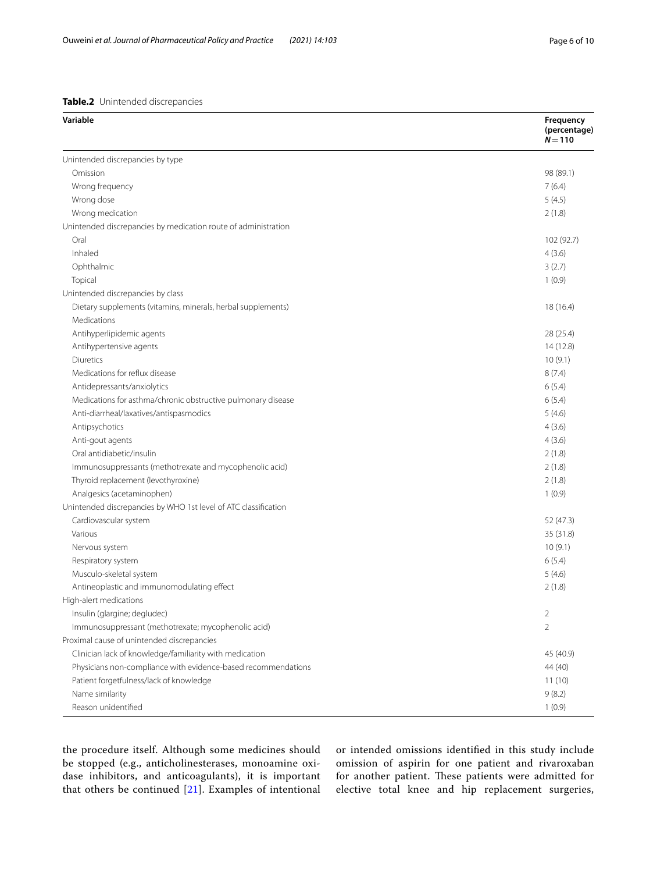<span id="page-5-0"></span>

| Variable                                                        | Frequency<br>(percentage)<br>$N = 110$ |
|-----------------------------------------------------------------|----------------------------------------|
| Unintended discrepancies by type                                |                                        |
| Omission                                                        | 98 (89.1)                              |
| Wrong frequency                                                 | 7(6.4)                                 |
| Wrong dose                                                      | 5(4.5)                                 |
| Wrong medication                                                | 2(1.8)                                 |
| Unintended discrepancies by medication route of administration  |                                        |
| Oral                                                            | 102 (92.7)                             |
| Inhaled                                                         | 4(3.6)                                 |
| Ophthalmic                                                      | 3(2.7)                                 |
| Topical                                                         | 1(0.9)                                 |
| Unintended discrepancies by class                               |                                        |
| Dietary supplements (vitamins, minerals, herbal supplements)    | 18 (16.4)                              |
| Medications                                                     |                                        |
| Antihyperlipidemic agents                                       | 28 (25.4)                              |
| Antihypertensive agents                                         | 14(12.8)                               |
| <b>Diuretics</b>                                                | 10(9.1)                                |
| Medications for reflux disease                                  | 8(7.4)                                 |
| Antidepressants/anxiolytics                                     | 6(5.4)                                 |
| Medications for asthma/chronic obstructive pulmonary disease    | 6(5.4)                                 |
| Anti-diarrheal/laxatives/antispasmodics                         | 5(4.6)                                 |
| Antipsychotics                                                  | 4(3.6)                                 |
| Anti-gout agents                                                | 4(3.6)                                 |
| Oral antidiabetic/insulin                                       | 2(1.8)                                 |
| Immunosuppressants (methotrexate and mycophenolic acid)         | 2(1.8)                                 |
| Thyroid replacement (levothyroxine)                             | 2(1.8)                                 |
| Analgesics (acetaminophen)                                      | 1(0.9)                                 |
| Unintended discrepancies by WHO 1st level of ATC classification |                                        |
| Cardiovascular system                                           | 52 (47.3)                              |
| Various                                                         | 35 (31.8)                              |
| Nervous system                                                  | 10(9.1)                                |
| Respiratory system                                              | 6(5.4)                                 |
| Musculo-skeletal system                                         | 5(4.6)                                 |
| Antineoplastic and immunomodulating effect                      | 2(1.8)                                 |
| High-alert medications                                          |                                        |
| Insulin (glargine; degludec)                                    | $\overline{2}$                         |
| Immunosuppressant (methotrexate; mycophenolic acid)             | $\overline{2}$                         |
| Proximal cause of unintended discrepancies                      |                                        |
| Clinician lack of knowledge/familiarity with medication         | 45 (40.9)                              |
| Physicians non-compliance with evidence-based recommendations   | 44 (40)                                |
| Patient forgetfulness/lack of knowledge                         | 11(10)                                 |
| Name similarity                                                 | 9(8.2)                                 |
| Reason unidentified                                             | 1(0.9)                                 |

the procedure itself. Although some medicines should be stopped (e.g., anticholinesterases, monoamine oxidase inhibitors, and anticoagulants), it is important that others be continued [[21\]](#page-9-9). Examples of intentional or intended omissions identifed in this study include omission of aspirin for one patient and rivaroxaban for another patient. These patients were admitted for elective total knee and hip replacement surgeries,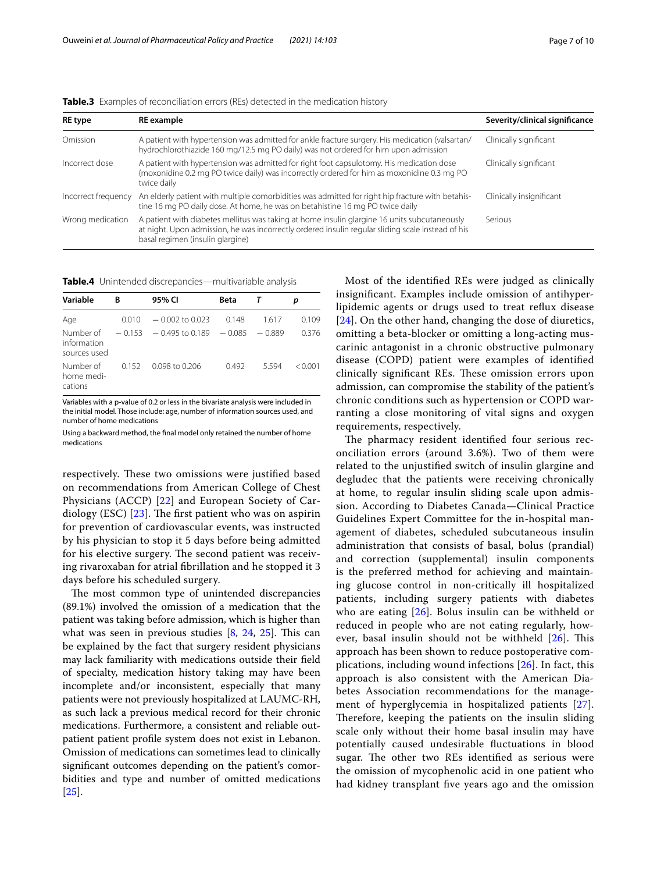| <b>RE</b> type      | <b>RE</b> example                                                                                                                                                                                                                     | Severity/clinical significance |
|---------------------|---------------------------------------------------------------------------------------------------------------------------------------------------------------------------------------------------------------------------------------|--------------------------------|
| Omission            | A patient with hypertension was admitted for ankle fracture surgery. His medication (valsartan/<br>hydrochlorothiazide 160 mg/12.5 mg PO daily) was not ordered for him upon admission                                                | Clinically significant         |
| Incorrect dose      | A patient with hypertension was admitted for right foot capsulotomy. His medication dose<br>(moxonidine 0.2 mg PO twice daily) was incorrectly ordered for him as moxonidine 0.3 mg PO<br>twice daily                                 | Clinically significant         |
| Incorrect frequency | An elderly patient with multiple comorbidities was admitted for right hip fracture with betahis-<br>tine 16 mg PO daily dose. At home, he was on betahistine 16 mg PO twice daily                                                     | Clinically insignificant       |
| Wrong medication    | A patient with diabetes mellitus was taking at home insulin glargine 16 units subcutaneously<br>at night. Upon admission, he was incorrectly ordered insulin regular sliding scale instead of his<br>basal regimen (insulin glargine) | Serious                        |

<span id="page-6-0"></span>**Table.3** Examples of reconciliation errors (REs) detected in the medication history

<span id="page-6-1"></span>**Table.4** Unintended discrepancies—multivariable analysis

| Variable                                 | B        | 95% CI            | Beta     |          |              |
|------------------------------------------|----------|-------------------|----------|----------|--------------|
| Age                                      | 0.010    | $-0.002$ to 0.023 | 0.148    | 1.617    | 0.109        |
| Number of<br>information<br>sources used | $-0.153$ | $-0.495$ to 0.189 | $-0.085$ | $-0.889$ | 0.376        |
| Number of<br>home medi-<br>cations       | 0.152    | $0.098$ to 0.206  | 0.492    | 5594     | $\leq$ 0.001 |

Variables with a p-value of 0.2 or less in the bivariate analysis were included in the initial model. Those include: age, number of information sources used, and number of home medications

Using a backward method, the fnal model only retained the number of home medications

respectively. These two omissions were justified based on recommendations from American College of Chest Physicians (ACCP) [[22\]](#page-9-10) and European Society of Cardiology (ESC)  $[23]$  $[23]$  $[23]$ . The first patient who was on aspirin for prevention of cardiovascular events, was instructed by his physician to stop it 5 days before being admitted for his elective surgery. The second patient was receiving rivaroxaban for atrial fbrillation and he stopped it 3 days before his scheduled surgery.

The most common type of unintended discrepancies (89.1%) involved the omission of a medication that the patient was taking before admission, which is higher than what was seen in previous studies  $[8, 24, 25]$  $[8, 24, 25]$  $[8, 24, 25]$  $[8, 24, 25]$  $[8, 24, 25]$  $[8, 24, 25]$ . This can be explained by the fact that surgery resident physicians may lack familiarity with medications outside their feld of specialty, medication history taking may have been incomplete and/or inconsistent, especially that many patients were not previously hospitalized at LAUMC-RH, as such lack a previous medical record for their chronic medications. Furthermore, a consistent and reliable outpatient patient profle system does not exist in Lebanon. Omission of medications can sometimes lead to clinically signifcant outcomes depending on the patient's comorbidities and type and number of omitted medications [[25\]](#page-9-13).

Most of the identifed REs were judged as clinically insignifcant. Examples include omission of antihyperlipidemic agents or drugs used to treat refux disease [[24](#page-9-12)]. On the other hand, changing the dose of diuretics, omitting a beta-blocker or omitting a long-acting muscarinic antagonist in a chronic obstructive pulmonary disease (COPD) patient were examples of identifed clinically significant REs. These omission errors upon admission, can compromise the stability of the patient's chronic conditions such as hypertension or COPD warranting a close monitoring of vital signs and oxygen requirements, respectively.

The pharmacy resident identified four serious reconciliation errors (around 3.6%). Two of them were related to the unjustifed switch of insulin glargine and degludec that the patients were receiving chronically at home, to regular insulin sliding scale upon admission. According to Diabetes Canada—Clinical Practice Guidelines Expert Committee for the in-hospital management of diabetes, scheduled subcutaneous insulin administration that consists of basal, bolus (prandial) and correction (supplemental) insulin components is the preferred method for achieving and maintaining glucose control in non-critically ill hospitalized patients, including surgery patients with diabetes who are eating [\[26](#page-9-8)]. Bolus insulin can be withheld or reduced in people who are not eating regularly, however, basal insulin should not be withheld  $[26]$  $[26]$ . This approach has been shown to reduce postoperative complications, including wound infections [\[26](#page-9-8)]. In fact, this approach is also consistent with the American Diabetes Association recommendations for the management of hyperglycemia in hospitalized patients [[27](#page-9-14)]. Therefore, keeping the patients on the insulin sliding scale only without their home basal insulin may have potentially caused undesirable fuctuations in blood sugar. The other two REs identified as serious were the omission of mycophenolic acid in one patient who had kidney transplant fve years ago and the omission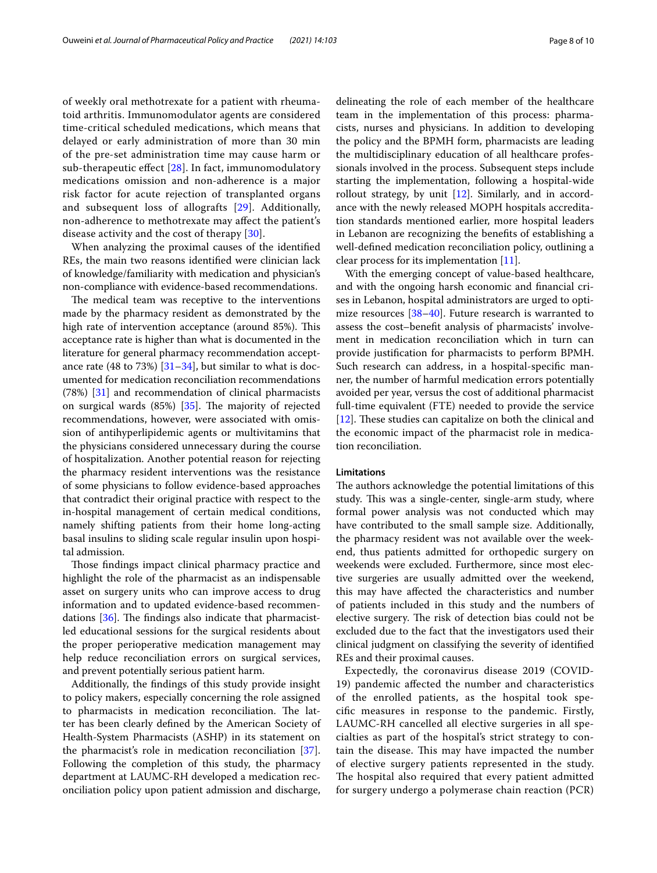of weekly oral methotrexate for a patient with rheumatoid arthritis. Immunomodulator agents are considered time-critical scheduled medications, which means that delayed or early administration of more than 30 min of the pre-set administration time may cause harm or sub-therapeutic effect  $[28]$  $[28]$  $[28]$ . In fact, immunomodulatory medications omission and non-adherence is a major risk factor for acute rejection of transplanted organs and subsequent loss of allografts [\[29](#page-9-16)]. Additionally, non-adherence to methotrexate may afect the patient's disease activity and the cost of therapy [[30\]](#page-9-17).

When analyzing the proximal causes of the identifed REs, the main two reasons identifed were clinician lack of knowledge/familiarity with medication and physician's non-compliance with evidence-based recommendations.

The medical team was receptive to the interventions made by the pharmacy resident as demonstrated by the high rate of intervention acceptance (around 85%). This acceptance rate is higher than what is documented in the literature for general pharmacy recommendation acceptance rate (48 to 73%)  $[31–34]$  $[31–34]$  $[31–34]$  $[31–34]$ , but similar to what is documented for medication reconciliation recommendations (78%) [[31](#page-9-18)] and recommendation of clinical pharmacists on surgical wards  $(85%)$   $[35]$ . The majority of rejected recommendations, however, were associated with omission of antihyperlipidemic agents or multivitamins that the physicians considered unnecessary during the course of hospitalization. Another potential reason for rejecting the pharmacy resident interventions was the resistance of some physicians to follow evidence-based approaches that contradict their original practice with respect to the in-hospital management of certain medical conditions, namely shifting patients from their home long-acting basal insulins to sliding scale regular insulin upon hospital admission.

Those findings impact clinical pharmacy practice and highlight the role of the pharmacist as an indispensable asset on surgery units who can improve access to drug information and to updated evidence-based recommendations  $[36]$  $[36]$ . The findings also indicate that pharmacistled educational sessions for the surgical residents about the proper perioperative medication management may help reduce reconciliation errors on surgical services, and prevent potentially serious patient harm.

Additionally, the fndings of this study provide insight to policy makers, especially concerning the role assigned to pharmacists in medication reconciliation. The latter has been clearly defned by the American Society of Health-System Pharmacists (ASHP) in its statement on the pharmacist's role in medication reconciliation [\[37](#page-9-22)]. Following the completion of this study, the pharmacy department at LAUMC-RH developed a medication reconciliation policy upon patient admission and discharge, delineating the role of each member of the healthcare team in the implementation of this process: pharmacists, nurses and physicians. In addition to developing the policy and the BPMH form, pharmacists are leading the multidisciplinary education of all healthcare professionals involved in the process. Subsequent steps include starting the implementation, following a hospital-wide rollout strategy, by unit [\[12](#page-9-0)]. Similarly, and in accordance with the newly released MOPH hospitals accreditation standards mentioned earlier, more hospital leaders in Lebanon are recognizing the benefts of establishing a well-defned medication reconciliation policy, outlining a clear process for its implementation [[11\]](#page-8-10).

With the emerging concept of value-based healthcare, and with the ongoing harsh economic and fnancial crises in Lebanon, hospital administrators are urged to opti-mize resources [\[38–](#page-9-23)[40\]](#page-9-24). Future research is warranted to assess the cost–beneft analysis of pharmacists' involvement in medication reconciliation which in turn can provide justifcation for pharmacists to perform BPMH. Such research can address, in a hospital-specifc manner, the number of harmful medication errors potentially avoided per year, versus the cost of additional pharmacist full-time equivalent (FTE) needed to provide the service [[12\]](#page-9-0). These studies can capitalize on both the clinical and the economic impact of the pharmacist role in medication reconciliation.

## **Limitations**

The authors acknowledge the potential limitations of this study. This was a single-center, single-arm study, where formal power analysis was not conducted which may have contributed to the small sample size. Additionally, the pharmacy resident was not available over the weekend, thus patients admitted for orthopedic surgery on weekends were excluded. Furthermore, since most elective surgeries are usually admitted over the weekend, this may have afected the characteristics and number of patients included in this study and the numbers of elective surgery. The risk of detection bias could not be excluded due to the fact that the investigators used their clinical judgment on classifying the severity of identifed REs and their proximal causes.

Expectedly, the coronavirus disease 2019 (COVID-19) pandemic afected the number and characteristics of the enrolled patients, as the hospital took specifc measures in response to the pandemic. Firstly, LAUMC-RH cancelled all elective surgeries in all specialties as part of the hospital's strict strategy to contain the disease. This may have impacted the number of elective surgery patients represented in the study. The hospital also required that every patient admitted for surgery undergo a polymerase chain reaction (PCR)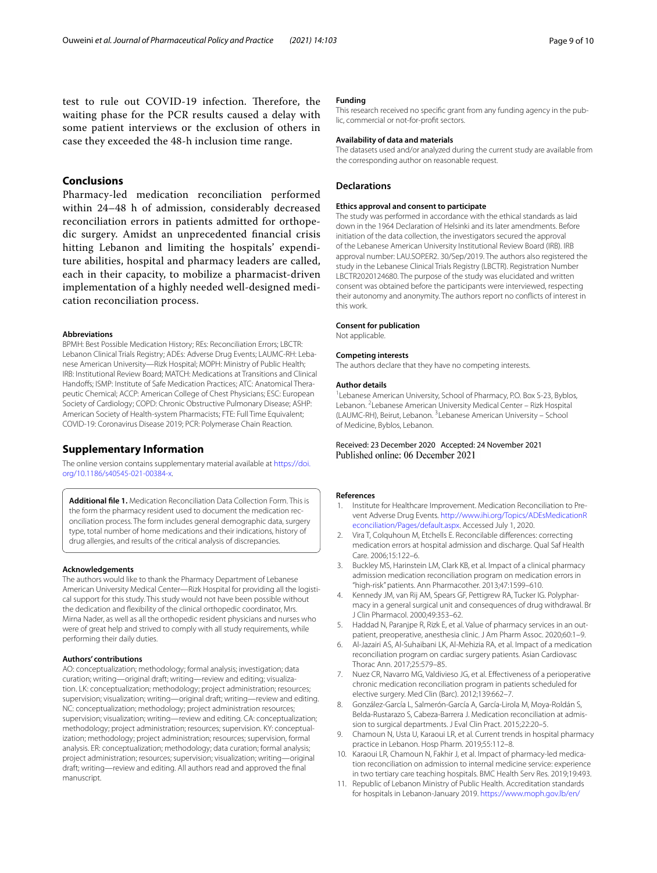test to rule out COVID-19 infection. Therefore, the waiting phase for the PCR results caused a delay with some patient interviews or the exclusion of others in case they exceeded the 48-h inclusion time range.

## **Conclusions**

Pharmacy-led medication reconciliation performed within 24–48 h of admission, considerably decreased reconciliation errors in patients admitted for orthopedic surgery. Amidst an unprecedented fnancial crisis hitting Lebanon and limiting the hospitals' expenditure abilities, hospital and pharmacy leaders are called, each in their capacity, to mobilize a pharmacist-driven implementation of a highly needed well-designed medication reconciliation process.

#### **Abbreviations**

BPMH: Best Possible Medication History; REs: Reconciliation Errors; LBCTR: Lebanon Clinical Trials Registry; ADEs: Adverse Drug Events; LAUMC-RH: Lebanese American University—Rizk Hospital; MOPH: Ministry of Public Health; IRB: Institutional Review Board; MATCH: Medications at Transitions and Clinical Handoffs; ISMP: Institute of Safe Medication Practices; ATC: Anatomical Therapeutic Chemical; ACCP: American College of Chest Physicians; ESC: European Society of Cardiology; COPD: Chronic Obstructive Pulmonary Disease; ASHP: American Society of Health-system Pharmacists; FTE: Full Time Equivalent; COVID-19: Coronavirus Disease 2019; PCR: Polymerase Chain Reaction.

## **Supplementary Information**

The online version contains supplementary material available at [https://doi.](https://doi.org/10.1186/s40545-021-00384-x) [org/10.1186/s40545-021-00384-x.](https://doi.org/10.1186/s40545-021-00384-x)

<span id="page-8-11"></span>**Additional fle 1.** Medication Reconciliation Data Collection Form. This is the form the pharmacy resident used to document the medication reconciliation process. The form includes general demographic data, surgery type, total number of home medications and their indications, history of drug allergies, and results of the critical analysis of discrepancies.

#### **Acknowledgements**

The authors would like to thank the Pharmacy Department of Lebanese American University Medical Center—Rizk Hospital for providing all the logistical support for this study. This study would not have been possible without the dedication and fexibility of the clinical orthopedic coordinator, Mrs. Mirna Nader, as well as all the orthopedic resident physicians and nurses who were of great help and strived to comply with all study requirements, while performing their daily duties.

#### **Authors' contributions**

AO: conceptualization; methodology; formal analysis; investigation; data curation; writing—original draft; writing—review and editing; visualization. LK: conceptualization; methodology; project administration; resources; supervision; visualization; writing—original draft; writing—review and editing. NC: conceptualization; methodology; project administration resources; supervision; visualization; writing—review and editing. CA: conceptualization; methodology; project administration; resources; supervision. KY: conceptualization; methodology; project administration; resources; supervision, formal analysis. ER: conceptualization; methodology; data curation; formal analysis; project administration; resources; supervision; visualization; writing—original draft; writing—review and editing. All authors read and approved the fnal manuscript.

#### **Funding**

This research received no specifc grant from any funding agency in the public, commercial or not-for-proft sectors.

#### **Availability of data and materials**

The datasets used and/or analyzed during the current study are available from the corresponding author on reasonable request.

## **Declarations**

#### **Ethics approval and consent to participate**

The study was performed in accordance with the ethical standards as laid down in the 1964 Declaration of Helsinki and its later amendments. Before initiation of the data collection, the investigators secured the approval of the Lebanese American University Institutional Review Board (IRB). IRB approval number: LAU.SOP.ER2. 30/Sep/2019. The authors also registered the study in the Lebanese Clinical Trials Registry (LBCTR). Registration Number LBCTR2020124680. The purpose of the study was elucidated and written consent was obtained before the participants were interviewed, respecting their autonomy and anonymity. The authors report no conficts of interest in this work.

#### **Consent for publication**

Not applicable.

#### **Competing interests**

The authors declare that they have no competing interests.

#### **Author details**

<sup>1</sup> Lebanese American University, School of Pharmacy, P.O. Box S-23, Byblos, Lebanon. <sup>2</sup> Lebanese American University Medical Center - Rizk Hospital (LAUMC-RH), Beirut, Lebanon. <sup>3</sup> Lebanese American University - School of Medicine, Byblos, Lebanon.

## Received: 23 December 2020 Accepted: 24 November 2021

#### **References**

- <span id="page-8-0"></span>1. Institute for Healthcare Improvement. Medication Reconciliation to Prevent Adverse Drug Events. [http://www.ihi.org/Topics/ADEsMedicationR](http://www.ihi.org/Topics/ADEsMedicationReconciliation/Pages/default.aspx) [econciliation/Pages/default.aspx.](http://www.ihi.org/Topics/ADEsMedicationReconciliation/Pages/default.aspx) Accessed July 1, 2020.
- <span id="page-8-1"></span>2. Vira T, Colquhoun M, Etchells E. Reconcilable diferences: correcting medication errors at hospital admission and discharge. Qual Saf Health Care. 2006;15:122–6.
- <span id="page-8-2"></span>3. Buckley MS, Harinstein LM, Clark KB, et al. Impact of a clinical pharmacy admission medication reconciliation program on medication errors in "high-risk" patients. Ann Pharmacother. 2013;47:1599–610.
- <span id="page-8-3"></span>4. Kennedy JM, van Rij AM, Spears GF, Pettigrew RA, Tucker IG. Polypharmacy in a general surgical unit and consequences of drug withdrawal. Br J Clin Pharmacol. 2000;49:353–62.
- <span id="page-8-4"></span>5. Haddad N, Paranjpe R, Rizk E, et al. Value of pharmacy services in an outpatient, preoperative, anesthesia clinic. J Am Pharm Assoc. 2020;60:1–9.
- <span id="page-8-5"></span>6. Al-Jazairi AS, Al-Suhaibani LK, Al-Mehizia RA, et al. Impact of a medication reconciliation program on cardiac surgery patients. Asian Cardiovasc Thorac Ann. 2017;25:579–85.
- <span id="page-8-6"></span>Nuez CR, Navarro MG, Valdivieso JG, et al. Effectiveness of a perioperative chronic medication reconciliation program in patients scheduled for elective surgery. Med Clin (Barc). 2012;139:662–7.
- <span id="page-8-7"></span>8. González-García L, Salmerón-García A, García-Lirola M, Moya-Roldán S, Belda-Rustarazo S, Cabeza-Barrera J. Medication reconciliation at admission to surgical departments. J Eval Clin Pract. 2015;22:20–5.
- <span id="page-8-8"></span>9. Chamoun N, Usta U, Karaoui LR, et al. Current trends in hospital pharmacy practice in Lebanon. Hosp Pharm. 2019;55:112–8.
- <span id="page-8-9"></span>10. Karaoui LR, Chamoun N, Fakhir J, et al. Impact of pharmacy-led medication reconciliation on admission to internal medicine service: experience in two tertiary care teaching hospitals. BMC Health Serv Res. 2019;19:493.
- <span id="page-8-10"></span>11. Republic of Lebanon Ministry of Public Health. Accreditation standards for hospitals in Lebanon-January 2019. [https://www.moph.gov.lb/en/](https://www.moph.gov.lb/en/Pages/3/20553/accreditation-standards-for-hospitals-in-lebanon-january-2019)